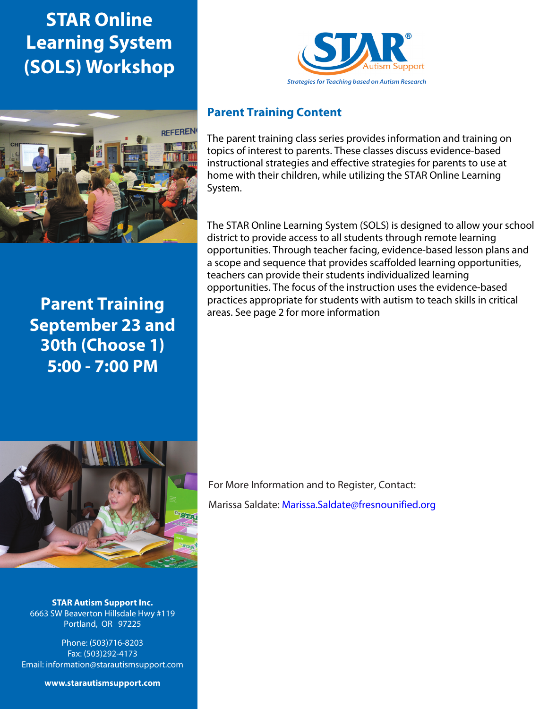## **STAR Online Learning System (SOLS) Workshop**



**September 23 and 30th (Choose 1) 5:00 - 7:00 PM**



## **Parent Training Content**

The parent training class series provides information and training on topics of interest to parents. These classes discuss evidence-based instructional strategies and effective strategies for parents to use at home with their children, while utilizing the STAR Online Learning System.

The STAR Online Learning System (SOLS) is designed to allow your school district to provide access to all students through remote learning opportunities. Through teacher facing, evidence-based lesson plans and a scope and sequence that provides scaffolded learning opportunities, teachers can provide their students individualized learning opportunities. The focus of the instruction uses the evidence-based practices appropriate for students with autism to teach skills in critical **Parent Training** Pareas. See page 2 for more information



**STAR Autism Support Inc.** 6663 SW Beaverton Hillsdale Hwy #119 Portland, OR 97225

Phone: (503)716-8203 Fax: (503)292-4173 Email: information@starautismsupport.com

**www.starautismsupport.com**

For More Information and to Register, Contact: Marissa Saldate: Marissa.Saldate@fresnounified.org